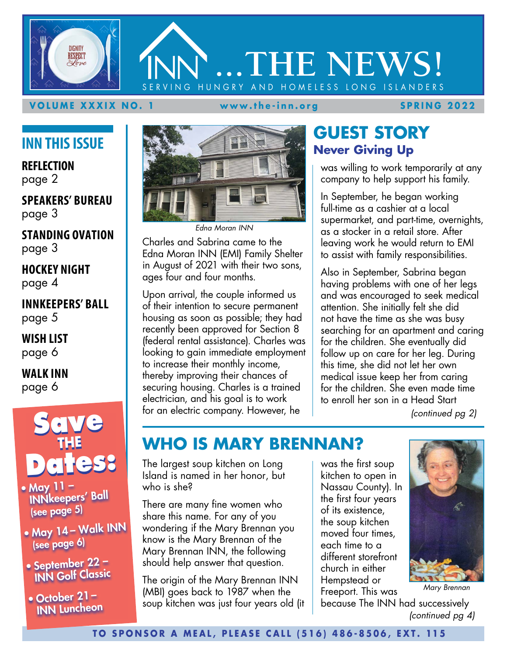# **DIGNITY RESPECT ...THE NEWS!** HUNGRY AND HOMELESS LONG ISLANDERS

#### **VOLUME XXXIX NO. 1 www.the-inn.org SPRING 2022**

## **INN THIS ISSUE**

**REFLECTION** page 2

**SPEAKERS' BUREAU** page 3

**STANDING OVATION** page 3

**HOCKEY NIGHT** page 4

**INNKEEPERS' BALL** page 5

**WISH LIST** page 6

**WALK INN** page 6



- May 11 INNkeepers' Ball (see page 5)
- May <sup>14</sup> Walk INN (see page 6)
- September 22 INN Golf Classic
- October 21 INN Luncheon



*Edna Moran INN*

Charles and Sabrina came to the Edna Moran INN (EMI) Family Shelter in August of 2021 with their two sons, ages four and four months.

Upon arrival, the couple informed us of their intention to secure permanent housing as soon as possible; they had recently been approved for Section 8 (federal rental assistance). Charles was looking to gain immediate employment to increase their monthly income, thereby improving their chances of securing housing. Charles is a trained electrician, and his goal is to work for an electric company. However, he

## **GUEST STORY Never Giving Up**

was willing to work temporarily at any company to help support his family.

In September, he began working full-time as a cashier at a local supermarket, and part-time, overnights, as a stocker in a retail store. After leaving work he would return to EMI to assist with family responsibilities.

Also in September, Sabrina began having problems with one of her legs and was encouraged to seek medical attention. She initially felt she did not have the time as she was busy searching for an apartment and caring for the children. She eventually did follow up on care for her leg. During this time, she did not let her own medical issue keep her from caring for the children. She even made time to enroll her son in a Head Start

*(continued pg 2)*

## **WHO IS MARY BRENNAN?**

The largest soup kitchen on Long Island is named in her honor, but who is she?

There are many fine women who share this name. For any of you wondering if the Mary Brennan you know is the Mary Brennan of the Mary Brennan INN, the following should help answer that question.

The origin of the Mary Brennan INN (MBI) goes back to 1987 when the soup kitchen was just four years old (it was the first soup kitchen to open in Nassau County). In the first four years of its existence, the soup kitchen moved four times, each time to a different storefront church in either Hempstead or Freeport. This was



*Mary Brennan*

because The INN had successively *(continued pg 4)*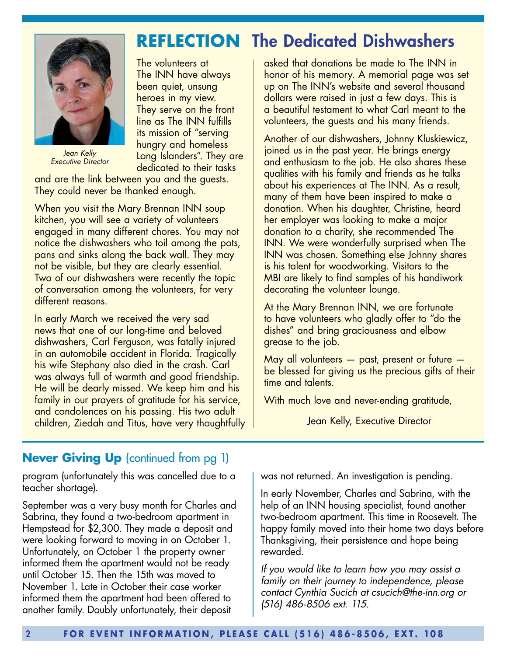

*Jean Kelly Executive Director* 

## **REFLECTION** The Dedicated Dishwashers

The volunteers at The INN have always been quiet, unsung heroes in my view. They serve on the front line as The INN fulfills its mission of "serving hungry and homeless Long Islanders". They are dedicated to their tasks

and are the link between you and the guests. They could never be thanked enough.

When you visit the Mary Brennan INN soup kitchen, you will see a variety of volunteers engaged in many different chores. You may not notice the dishwashers who toil among the pots, pans and sinks along the back wall. They may not be visible, but they are clearly essential. Two of our dishwashers were recently the topic of conversation among the volunteers, for very different reasons.

In early March we received the very sad news that one of our long-time and beloved dishwashers, Carl Ferguson, was fatally injured in an automobile accident in Florida. Tragically his wife Stephany also died in the crash. Carl was always full of warmth and good friendship. He will be dearly missed. We keep him and his family in our prayers of gratitude for his service, and condolences on his passing. His two adult children, Ziedah and Titus, have very thoughtfully asked that donations be made to The INN in honor of his memory. A memorial page was set up on The INN's website and several thousand dollars were raised in just a few days. This is a beautiful testament to what Carl meant to the volunteers, the guests and his many friends.

Another of our dishwashers, Johnny Kluskiewicz, joined us in the past year. He brings energy and enthusiasm to the job. He also shares these qualities with his family and friends as he talks about his experiences at The INN. As a result, many of them have been inspired to make a donation. When his daughter, Christine, heard her employer was looking to make a major donation to a charity, she recommended The INN. We were wonderfully surprised when The INN was chosen. Something else Johnny shares is his talent for woodworking. Visitors to the MBI are likely to find samples of his handiwork decorating the volunteer lounge.

At the Mary Brennan INN, we are fortunate to have volunteers who gladly offer to "do the dishes" and bring graciousness and elbow grease to the job.

May all volunteers — past, present or future be blessed for giving us the precious gifts of their time and talents.

With much love and never-ending gratitude,

Jean Kelly, Executive Director

#### **Never Giving Up** (continued from pg 1)

program (unfortunately this was cancelled due to a teacher shortage).

September was a very busy month for Charles and Sabrina, they found a two-bedroom apartment in Hempstead for \$2,300. They made a deposit and were looking forward to moving in on October 1. Unfortunately, on October 1 the property owner informed them the apartment would not be ready until October 15. Then the 15th was moved to November 1. Late in October their case worker informed them the apartment had been offered to another family. Doubly unfortunately, their deposit

was not returned. An investigation is pending.

In early November, Charles and Sabrina, with the help of an INN housing specialist, found another two-bedroom apartment. This time in Roosevelt. The happy family moved into their home two days before Thanksgiving, their persistence and hope being rewarded.

*If you would like to learn how you may assist a family on their journey to independence, please contact Cynthia Sucich at csucich@the-inn.org or (516) 486-8506 ext. 115.*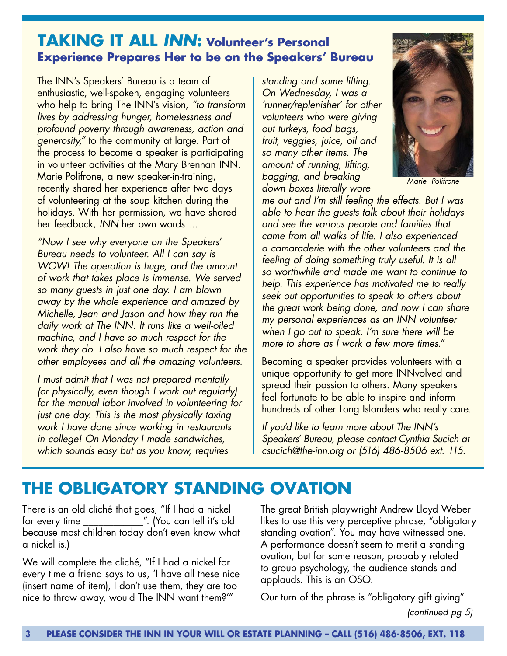### **TAKING IT ALL** *INN***: Volunteer's Personal Experience Prepares Her to be on the Speakers' Bureau**

The INN's Speakers' Bureau is a team of enthusiastic, well-spoken, engaging volunteers who help to bring The INN's vision, *"to transform lives by addressing hunger, homelessness and profound poverty through awareness, action and generosity,"* to the community at large. Part of the process to become a speaker is participating in volunteer activities at the Mary Brennan INN. Marie Polifrone, a new speaker-in-training, recently shared her experience after two days of volunteering at the soup kitchen during the holidays. With her permission, we have shared her feedback, *INN* her own words …

*"Now I see why everyone on the Speakers' Bureau needs to volunteer. All I can say is WOW! The operation is huge, and the amount of work that takes place is immense. We served so many guests in just one day. I am blown away by the whole experience and amazed by Michelle, Jean and Jason and how they run the daily work at The INN. It runs like a well-oiled machine, and I have so much respect for the work they do. I also have so much respect for the other employees and all the amazing volunteers.*

*I must admit that I was not prepared mentally (or physically, even though I work out regularly) for the manual labor involved in volunteering for just one day. This is the most physically taxing work I have done since working in restaurants in college! On Monday I made sandwiches, which sounds easy but as you know, requires* 

*standing and some lifting. On Wednesday, I was a 'runner/replenisher' for other volunteers who were giving out turkeys, food bags, fruit, veggies, juice, oil and so many other items. The amount of running, lifting, bagging, and breaking down boxes literally wore* 



*Marie Polifrone*

*me out and I'm still feeling the effects. But I was able to hear the guests talk about their holidays and see the various people and families that came from all walks of life. I also experienced a camaraderie with the other volunteers and the feeling of doing something truly useful. It is all so worthwhile and made me want to continue to help. This experience has motivated me to really seek out opportunities to speak to others about the great work being done, and now I can share my personal experiences as an INN volunteer when I go out to speak. I'm sure there will be more to share as I work a few more times."*

Becoming a speaker provides volunteers with a unique opportunity to get more INNvolved and spread their passion to others. Many speakers feel fortunate to be able to inspire and inform hundreds of other Long Islanders who really care.

*If you'd like to learn more about The INN's Speakers' Bureau, please contact Cynthia Sucich at csucich@the-inn.org or (516) 486-8506 ext. 115.*

## **THE OBLIGATORY STANDING OVATION**

There is an old cliché that goes, "If I had a nickel for every time \_\_\_\_\_\_\_\_\_\_\_\_". (You can tell it's old because most children today don't even know what a nickel is.)

We will complete the cliché, "If I had a nickel for every time a friend says to us, 'I have all these nice (insert name of item), I don't use them, they are too nice to throw away, would The INN want them?'"

The great British playwright Andrew Lloyd Weber likes to use this very perceptive phrase, "obligatory standing ovation". You may have witnessed one. A performance doesn't seem to merit a standing ovation, but for some reason, probably related to group psychology, the audience stands and applauds. This is an OSO.

Our turn of the phrase is "obligatory gift giving" *(continued pg 5)*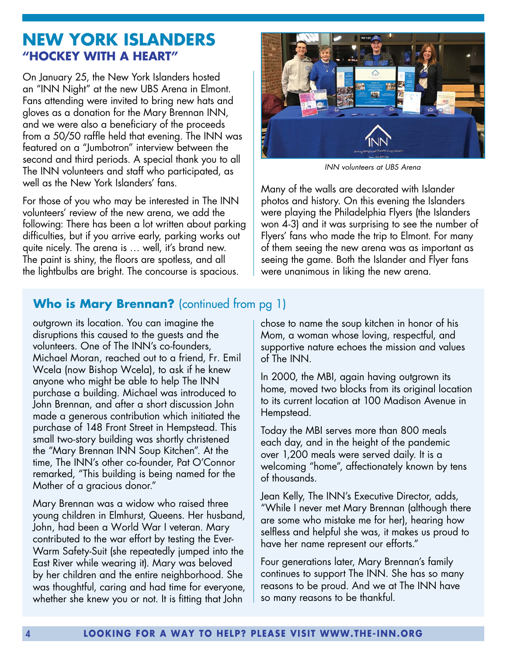## **NEW YORK ISLANDERS "HOCKEY WITH A HEART"**

On January 25, the New York Islanders hosted an "INN Night" at the new UBS Arena in Elmont. Fans attending were invited to bring new hats and gloves as a donation for the Mary Brennan INN, and we were also a beneficiary of the proceeds from a 50/50 raffle held that evening. The INN was featured on a "Jumbotron" interview between the second and third periods. A special thank you to all The INN volunteers and staff who participated, as well as the New York Islanders' fans.

For those of you who may be interested in The INN volunteers' review of the new arena, we add the following: There has been a lot written about parking difficulties, but if you arrive early, parking works out quite nicely. The arena is … well, it's brand new. The paint is shiny, the floors are spotless, and all the lightbulbs are bright. The concourse is spacious.



*INN volunteers at UBS Arena*

Many of the walls are decorated with Islander photos and history. On this evening the Islanders were playing the Philadelphia Flyers (the Islanders won 4-3) and it was surprising to see the number of Flyers' fans who made the trip to Elmont. For many of them seeing the new arena was as important as seeing the game. Both the Islander and Flyer fans were unanimous in liking the new arena.

#### **Who is Mary Brennan?** (continued from pg 1)

outgrown its location. You can imagine the disruptions this caused to the guests and the volunteers. One of The INN's co-founders, Michael Moran, reached out to a friend, Fr. Emil Wcela (now Bishop Wcela), to ask if he knew anyone who might be able to help The INN purchase a building. Michael was introduced to John Brennan, and after a short discussion John made a generous contribution which initiated the purchase of 148 Front Street in Hempstead. This small two-story building was shortly christened the "Mary Brennan INN Soup Kitchen". At the time, The INN's other co-founder, Pat O'Connor remarked, "This building is being named for the Mother of a gracious donor."

Mary Brennan was a widow who raised three young children in Elmhurst, Queens. Her husband, John, had been a World War I veteran. Mary contributed to the war effort by testing the Ever-Warm Safety-Suit (she repeatedly jumped into the East River while wearing it). Mary was beloved by her children and the entire neighborhood. She was thoughtful, caring and had time for everyone, whether she knew you or not. It is fitting that John

chose to name the soup kitchen in honor of his Mom, a woman whose loving, respectful, and supportive nature echoes the mission and values of The INN.

In 2000, the MBI, again having outgrown its home, moved two blocks from its original location to its current location at 100 Madison Avenue in Hempstead.

Today the MBI serves more than 800 meals each day, and in the height of the pandemic over 1,200 meals were served daily. It is a welcoming "home", affectionately known by tens of thousands.

Jean Kelly, The INN's Executive Director, adds, "While I never met Mary Brennan (although there are some who mistake me for her), hearing how selfless and helpful she was, it makes us proud to have her name represent our efforts."

Four generations later, Mary Brennan's family continues to support The INN. She has so many reasons to be proud. And we at The INN have so many reasons to be thankful.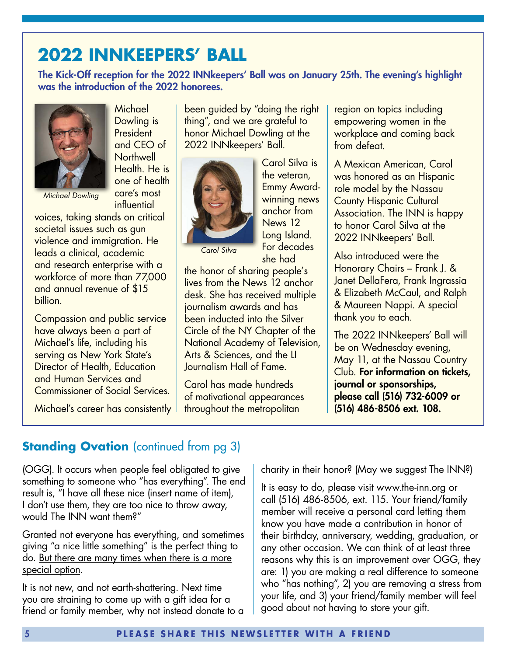# **2022 INNKEEPERS' BALL**

The Kick-Off reception for the 2022 INNkeepers' Ball was on January 25th. The evening's highlight was the introduction of the 2022 honorees.



billion.

**Michael** Dowling is **President** and CEO of **Northwell** Health. He is one of health care's most **influential** 

voices, taking stands on critical societal issues such as gun violence and immigration. He leads a clinical, academic and research enterprise with a workforce of more than 77,000 and annual revenue of \$15

Compassion and public service have always been a part of Michael's life, including his serving as New York State's Director of Health, Education and Human Services and Commissioner of Social Services.

Michael's career has consistently

been guided by "doing the right thing", and we are grateful to honor Michael Dowling at the 2022 INNkeepers' Ball.



Carol Silva is the veteran, Emmy Awardwinning news anchor from News 12 Long Island. For decades she had

*Carol Silva*

the honor of sharing people's lives from the News 12 anchor desk. She has received multiple journalism awards and has been inducted into the Silver Circle of the NY Chapter of the National Academy of Television, Arts & Sciences, and the LI Journalism Hall of Fame.

Carol has made hundreds of motivational appearances throughout the metropolitan

region on topics including empowering women in the workplace and coming back from defeat.

A Mexican American, Carol was honored as an Hispanic role model by the Nassau County Hispanic Cultural Association. The INN is happy to honor Carol Silva at the 2022 INNkeepers' Ball.

Also introduced were the Honorary Chairs – Frank J. & Janet DellaFera, Frank Ingrassia & Elizabeth McCaul, and Ralph & Maureen Nappi. A special thank you to each.

The 2022 INNkeepers' Ball will be on Wednesday evening, May 11, at the Nassau Country Club. For information on tickets, journal or sponsorships, please call (516) 732-6009 or (516) 486-8506 ext. 108.

### **Standing Ovation** (continued from pg 3)

(OGG). It occurs when people feel obligated to give something to someone who "has everything". The end result is, "I have all these nice (insert name of item), I don't use them, they are too nice to throw away, would The INN want them?"

Granted not everyone has everything, and sometimes giving "a nice little something" is the perfect thing to do. But there are many times when there is a more special option.

It is not new, and not earth-shattering. Next time you are straining to come up with a gift idea for a friend or family member, why not instead donate to a charity in their honor? (May we suggest The INN?)

It is easy to do, please visit www.the-inn.org or call (516) 486-8506, ext. 115. Your friend/family member will receive a personal card letting them know you have made a contribution in honor of their birthday, anniversary, wedding, graduation, or any other occasion. We can think of at least three reasons why this is an improvement over OGG, they are: 1) you are making a real difference to someone who "has nothing", 2) you are removing a stress from your life, and 3) your friend/family member will feel good about not having to store your gift.